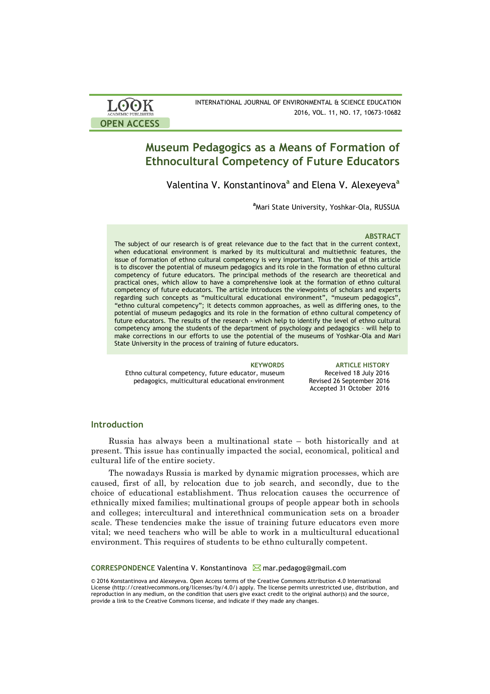

# **Museum Pedagogics as a Means of Formation of Ethnocultural Competency of Future Educators**

Valentina V. Konstantinova**<sup>a</sup>** and Elena V. Alexeyeva**<sup>a</sup>**

**a** Mari State University, Yoshkar-Ola, RUSSUA

### **ABSTRACT**

The subject of our research is of great relevance due to the fact that in the current context, when educational environment is marked by its multicultural and multiethnic features, the issue of formation of ethno cultural competency is very important. Thus the goal of this article is to discover the potential of museum pedagogics and its role in the formation of ethno cultural competency of future educators. The principal methods of the research are theoretical and practical ones, which allow to have a comprehensive look at the formation of ethno cultural competency of future educators. The article introduces the viewpoints of scholars and experts regarding such concepts as "multicultural educational environment", "museum pedagogics", "ethno cultural competency"; it detects common approaches, as well as differing ones, to the potential of museum pedagogics and its role in the formation of ethno cultural competency of future educators. The results of the research - which help to identify the level of ethno cultural competency among the students of the department of psychology and pedagogics – will help to make corrections in our efforts to use the potential of the museums of Yoshkar-Ola and Mari State University in the process of training of future educators.

Ethno cultural competency, future educator, museum pedagogics, multicultural educational environment

**KEYWORDS ARTICLE HISTORY** Received 18 July 2016 Revised 26 September 2016 Accepted 31 October 2016

### **Introduction**

Russia has always been a multinational state – both historically and at present. This issue has continually impacted the social, economical, political and cultural life of the entire society.

The nowadays Russia is marked by dynamic migration processes, which are caused, first of all, by relocation due to job search, and secondly, due to the choice of educational establishment. Thus relocation causes the occurrence of ethnically mixed families; multinational groups of people appear both in schools and colleges; intercultural and interethnical communication sets on a broader scale. These tendencies make the issue of training future educators even more vital; we need teachers who will be able to work in a multicultural educational environment. This requires of students to be ethno culturally competent.

CORRESPONDENCE Valentina V. Konstantinova **M** mar.pedagog@gmail.com

© 2016 Konstantinova and Alexeyeva. Open Access terms of the Creative Commons Attribution 4.0 International License (http://creativecommons.org/licenses/by/4.0/) apply. The license permits unrestricted use, distribution, and reproduction in any medium, on the condition that users give exact credit to the original author(s) and the source, provide a link to the Creative Commons license, and indicate if they made any changes.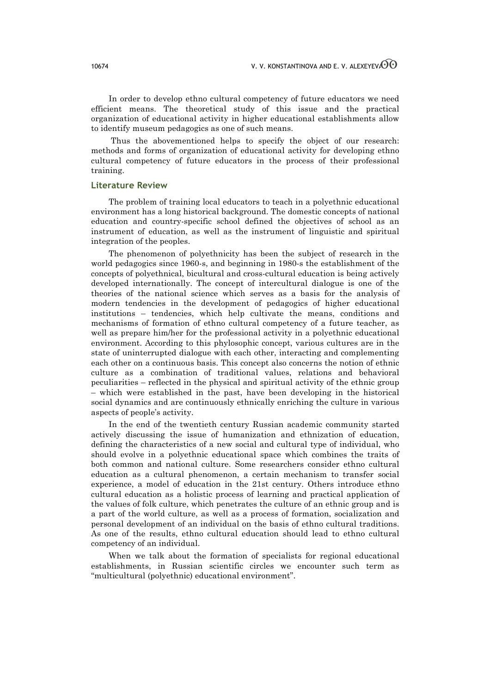In order to develop ethno cultural competency of future educators we need efficient means. The theoretical study of this issue and the practical organization of educational activity in higher educational establishments allow to identify museum pedagogics as one of such means.

Thus the abovementioned helps to specify the object of our research: methods and forms of organization of educational activity for developing ethno cultural competency of future educators in the process of their professional training.

# **Literature Review**

The problem of training local educators to teach in a polyethnic educational environment has a long historical background. The domestic concepts of national education and country-specific school defined the objectives of school as an instrument of education, as well as the instrument of linguistic and spiritual integration of the peoples.

The phenomenon of polyethnicity has been the subject of research in the world pedagogics since 1960-s, and beginning in 1980-s the establishment of the concepts of polyethnical, bicultural and cross-cultural education is being actively developed internationally. The concept of intercultural dialogue is one of the theories of the national science which serves as a basis for the analysis of modern tendencies in the development of pedagogics of higher educational institutions – tendencies, which help cultivate the means, conditions and mechanisms of formation of ethno cultural competency of a future teacher, as well as prepare him/her for the professional activity in a polyethnic educational environment. According to this phylosophic concept, various cultures are in the state of uninterrupted dialogue with each other, interacting and complementing each other on a continuous basis. This concept also concerns the notion of ethnic culture as a combination of traditional values, relations and behavioral peculiarities – reflected in the physical and spiritual activity of the ethnic group – which were established in the past, have been developing in the historical social dynamics and are continuously ethnically enriching the culture in various aspects of people's activity.

In the end of the twentieth century Russian academic community started actively discussing the issue of humanization and ethnization of education, defining the characteristics of a new social and cultural type of individual, who should evolve in a polyethnic educational space which combines the traits of both common and national culture. Some researchers consider ethno cultural education as a cultural phenomenon, a certain mechanism to transfer social experience, a model of education in the 21st century. Others introduce ethno cultural education as a holistic process of learning and practical application of the values of folk culture, which penetrates the culture of an ethnic group and is a part of the world culture, as well as a process of formation, socialization and personal development of an individual on the basis of ethno cultural traditions. As one of the results, ethno cultural education should lead to ethno cultural competency of an individual.

When we talk about the formation of specialists for regional educational establishments, in Russian scientific circles we encounter such term as "multicultural (polyethnic) educational environment".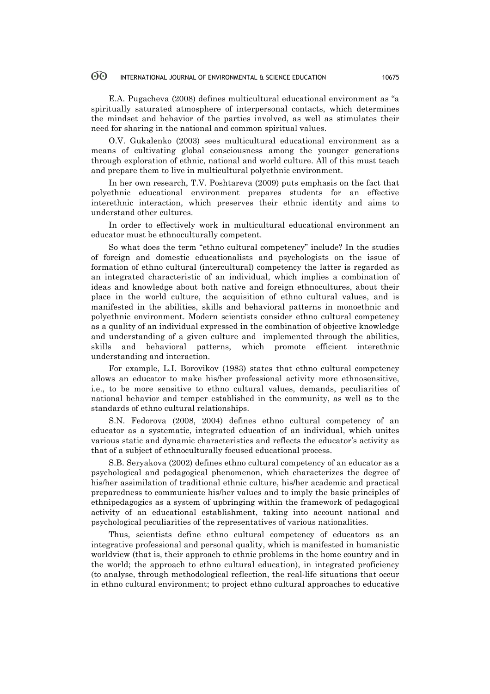#### $\odot$ INTERNATIONAL JOURNAL OF ENVIRONMENTAL & SCIENCE EDUCATION 10675

E.A. Pugacheva (2008) defines multicultural educational environment as "a spiritually saturated atmosphere of interpersonal contacts, which determines the mindset and behavior of the parties involved, as well as stimulates their need for sharing in the national and common spiritual values.

O.V. Gukalenko (2003) sees multicultural educational environment as a means of cultivating global consciousness among the younger generations through exploration of ethnic, national and world culture. All of this must teach and prepare them to live in multicultural polyethnic environment.

In her own research, T.V. Poshtareva (2009) puts emphasis on the fact that polyethnic educational environment prepares students for an effective interethnic interaction, which preserves their ethnic identity and aims to understand other cultures.

In order to effectively work in multicultural educational environment an educator must be ethnoculturally competent.

So what does the term "ethno cultural competency" include? In the studies of foreign and domestic educationalists and psychologists on the issue of formation of ethno cultural (intercultural) competency the latter is regarded as an integrated characteristic of an individual, which implies a combination of ideas and knowledge about both native and foreign ethnocultures, about their place in the world culture, the acquisition of ethno cultural values, and is manifested in the abilities, skills and behavioral patterns in monoethnic and polyethnic environment. Modern scientists consider ethno cultural competency as a quality of an individual expressed in the combination of objective knowledge and understanding of a given culture and implemented through the abilities, skills and behavioral patterns, which promote efficient interethnic understanding and interaction.

For example, L.I. Borovikov (1983) states that ethno cultural competency allows an educator to make his/her professional activity more ethnosensitive, i.e., to be more sensitive to ethno cultural values, demands, peculiarities of national behavior and temper established in the community, as well as to the standards of ethno cultural relationships.

S.N. Fedorova (2008, 2004) defines ethno cultural competency of an educator as a systematic, integrated education of an individual, which unites various static and dynamic characteristics and reflects the educator's activity as that of a subject of ethnoculturally focused educational process.

S.B. Seryakova (2002) defines ethno cultural competency of an educator as a psychological and pedagogical phenomenon, which characterizes the degree of his/her assimilation of traditional ethnic culture, his/her academic and practical preparedness to communicate his/her values and to imply the basic principles of ethnipedagogics as a system of upbringing within the framework of pedagogical activity of an educational establishment, taking into account national and psychological peculiarities of the representatives of various nationalities.

Thus, scientists define ethno cultural competency of educators as an integrative professional and personal quality, which is manifested in humanistic worldview (that is, their approach to ethnic problems in the home country and in the world; the approach to ethno cultural education), in integrated proficiency (to analyse, through methodological reflection, the real-life situations that occur in ethno cultural environment; to project ethno cultural approaches to educative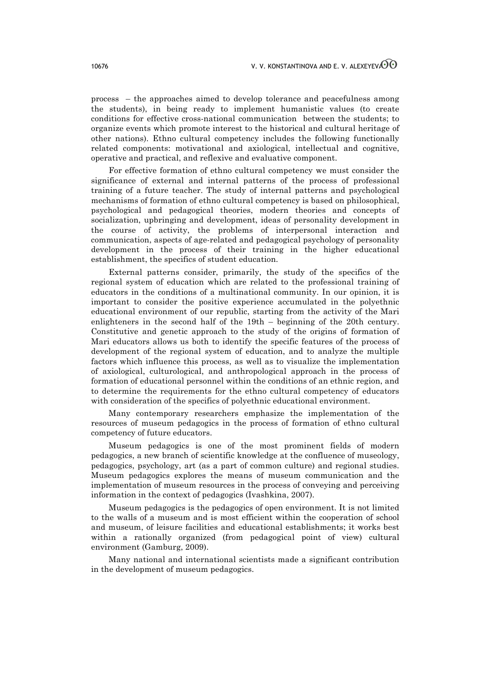process – the approaches aimed to develop tolerance and peacefulness among the students), in being ready to implement humanistic values (to create conditions for effective cross-national communication between the students; to organize events which promote interest to the historical and cultural heritage of other nations). Ethno cultural competency includes the following functionally related components: motivational and axiological, intellectual and cognitive, operative and practical, and reflexive and evaluative component.

For effective formation of ethno cultural competency we must consider the significance of external and internal patterns of the process of professional training of a future teacher. The study of internal patterns and psychological mechanisms of formation of ethno cultural competency is based on philosophical, psychological and pedagogical theories, modern theories and concepts of socialization, upbringing and development, ideas of personality development in the course of activity, the problems of interpersonal interaction and communication, aspects of age-related and pedagogical psychology of personality development in the process of their training in the higher educational establishment, the specifics of student education.

External patterns consider, primarily, the study of the specifics of the regional system of education which are related to the professional training of educators in the conditions of a multinational community. In our opinion, it is important to consider the positive experience accumulated in the polyethnic educational environment of our republic, starting from the activity of the Mari enlighteners in the second half of the 19th – beginning of the 20th century. Constitutive and genetic approach to the study of the origins of formation of Mari educators allows us both to identify the specific features of the process of development of the regional system of education, and to analyze the multiple factors which influence this process, as well as to visualize the implementation of axiological, culturological, and anthropological approach in the process of formation of educational personnel within the conditions of an ethnic region, and to determine the requirements for the ethno cultural competency of educators with consideration of the specifics of polyethnic educational environment.

Many contemporary researchers emphasize the implementation of the resources of museum pedagogics in the process of formation of ethno cultural competency of future educators.

Museum pedagogics is one of the most prominent fields of modern pedagogics, a new branch of scientific knowledge at the confluence of museology, pedagogics, psychology, art (as a part of common culture) and regional studies. Museum pedagogics explores the means of museum communication and the implementation of museum resources in the process of conveying and perceiving information in the context of pedagogics (Ivashkina, 2007).

Museum pedagogics is the pedagogics of open environment. It is not limited to the walls of a museum and is most efficient within the cooperation of school and museum, of leisure facilities and educational establishments; it works best within a rationally organized (from pedagogical point of view) cultural environment (Gamburg, 2009).

Many national and international scientists made a significant contribution in the development of museum pedagogics.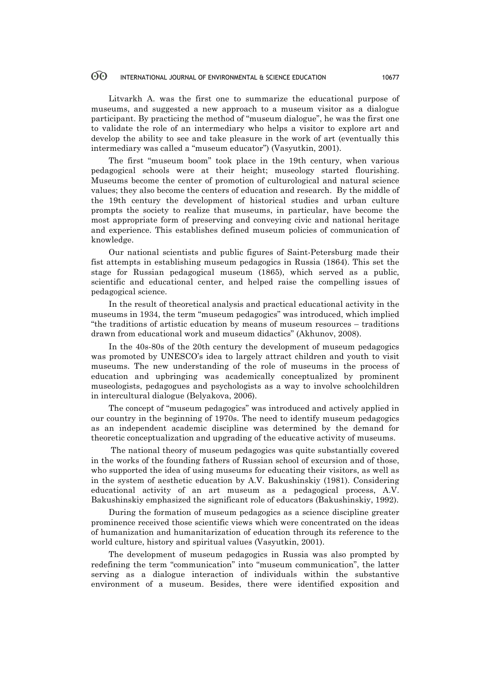#### 60 INTERNATIONAL JOURNAL OF ENVIRONMENTAL & SCIENCE EDUCATION 10677

Litvarkh А. was the first one to summarize the educational purpose of museums, and suggested a new approach to a museum visitor as a dialogue participant. By practicing the method of "museum dialogue", he was the first one to validate the role of an intermediary who helps a visitor to explore art and develop the ability to see and take pleasure in the work of art (eventually this intermediary was called a "museum educator") (Vasyutkin, 2001).

The first "museum boom" took place in the 19th century, when various pedagogical schools were at their height; museology started flourishing. Museums become the center of promotion of culturological and natural science values; they also become the centers of education and research. By the middle of the 19th century the development of historical studies and urban culture prompts the society to realize that museums, in particular, have become the most appropriate form of preserving and conveying civic and national heritage and experience. This establishes defined museum policies of communication of knowledge.

Our national scientists and public figures of Saint-Petersburg made their fist attempts in establishing museum pedagogics in Russia (1864). This set the stage for Russian pedagogical museum (1865), which served as a public, scientific and educational center, and helped raise the compelling issues of pedagogical science.

In the result of theoretical analysis and practical educational activity in the museums in 1934, the term "museum pedagogics" was introduced, which implied "the traditions of artistic education by means of museum resources – traditions drawn from educational work and museum didactics" (Akhunov, 2008).

In the 40s-80s of the 20th century the development of museum pedagogics was promoted by UNESCO's idea to largely attract children and youth to visit museums. The new understanding of the role of museums in the process of education and upbringing was academically conceptualized by prominent museologists, pedagogues and psychologists as a way to involve schoolchildren in intercultural dialogue (Belyakova, 2006).

The concept of "museum pedagogics" was introduced and actively applied in our country in the beginning of 1970s. The need to identify museum pedagogics as an independent academic discipline was determined by the demand for theoretic conceptualization and upgrading of the educative activity of museums.

The national theory of museum pedagogics was quite substantially covered in the works of the founding fathers of Russian school of excursion and of those, who supported the idea of using museums for educating their visitors, as well as in the system of aesthetic education by A.V. Bakushinskiy (1981). Considering educational activity of an art museum as a pedagogical process, А.V. Bakushinskiy emphasized the significant role of educators (Bakushinskiy, 1992).

During the formation of museum pedagogics as a science discipline greater prominence received those scientific views which were concentrated on the ideas of humanization and humanitarization of education through its reference to the world culture, history and spiritual values (Vasyutkin, 2001).

The development of museum pedagogics in Russia was also prompted by redefining the term "communication" into "museum communication", the latter serving as a dialogue interaction of individuals within the substantive environment of a museum. Besides, there were identified exposition and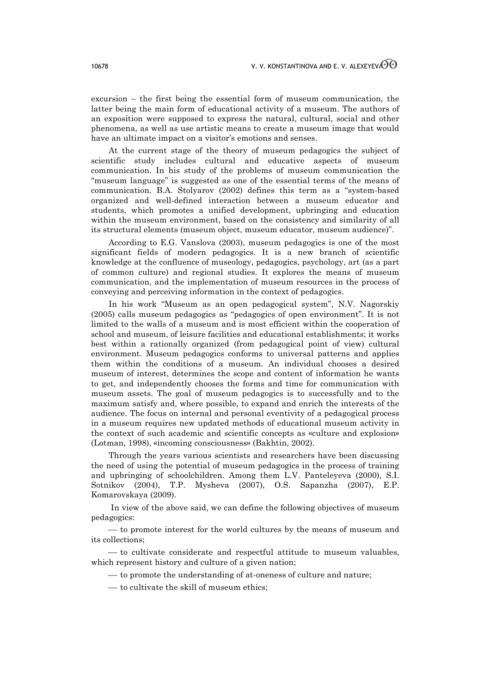excursion – the first being the essential form of museum communication, the latter being the main form of educational activity of a museum. The authors of an exposition were supposed to express the natural, cultural, social and other phenomena, as well as use artistic means to create a museum image that would have an ultimate impact on a visitor's emotions and senses.

At the current stage of the theory of museum pedagogics the subject of scientific study includes cultural and educative aspects of museum communication. In his study of the problems of museum communication the "museum language" is suggested as one of the essential terms of the means of communication. B.A. Stolyarov (2002) defines this term as a "system-based organized and well-defined interaction between a museum educator and students, which promotes a unified development, upbringing and education within the museum environment, based on the consistency and similarity of all its structural elements (museum object, museum educator, museum audience)".

According to E.G. Vanslova (2003), museum pedagogics is one of the most significant fields of modern pedagogics. It is a new branch of scientific knowledge at the confluence of museology, pedagogics, psychology, art (as a part of common culture) and regional studies. It explores the means of museum communication, and the implementation of museum resources in the process of conveying and perceiving information in the context of pedagogics.

In his work "Museum as an open pedagogical system", N.V. Nagorskiy (2005) calls museum pedagogics as "pedagogics of open environment". It is not limited to the walls of a museum and is most efficient within the cooperation of school and museum, of leisure facilities and educational establishments; it works best within a rationally organized (from pedagogical point of view) cultural environment. Museum pedagogics conforms to universal patterns and applies them within the conditions of a museum. An individual chooses a desired museum of interest, determines the scope and content of information he wants to get, and independently chooses the forms and time for communication with museum assets. The goal of museum pedagogics is to successfully and to the maximum satisfy and, where possible, to expand and enrich the interests of the audience. The focus on internal and personal eventivity of a pedagogical process in a museum requires new updated methods of educational museum activity in the context of such academic and scientific concepts as «culture and explosion» (Lotman, 1998), «incoming consciousness» (Bakhtin, 2002).

Through the years various scientists and researchers have been discussing the need of using the potential of museum pedagogics in the process of training and upbringing of schoolchildren. Among them L.V. Panteleyeva (2000), S.I. Sotnikov (2004), T.P. Mysheva (2007), O.S. Sapanzha (2007), E.P. Komarovskaya (2009).

In view of the above said, we can define the following objectives of museum pedagogics:

¾ to promote interest for the world cultures by the means of museum and its collections;

— to cultivate considerate and respectful attitude to museum valuables, which represent history and culture of a given nation;

- ¾ to promote the understanding of at-oneness of culture and nature;
- to cultivate the skill of museum ethics;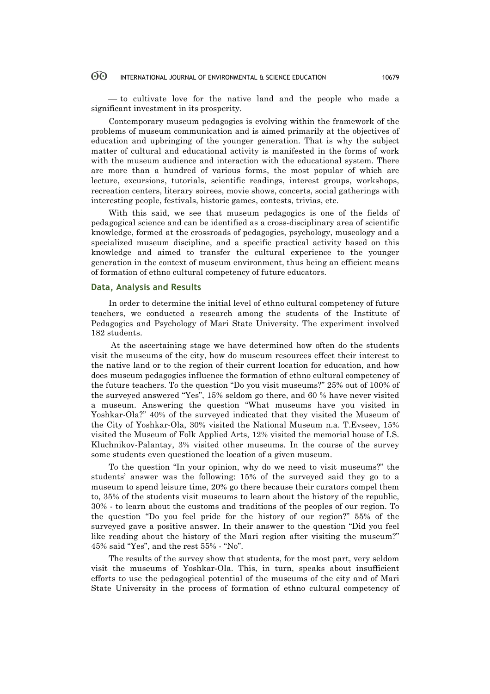#### 60 INTERNATIONAL JOURNAL OF ENVIRONMENTAL & SCIENCE EDUCATION 10679

— to cultivate love for the native land and the people who made a significant investment in its prosperity.

Contemporary museum pedagogics is evolving within the framework of the problems of museum communication and is aimed primarily at the objectives of education and upbringing of the younger generation. That is why the subject matter of cultural and educational activity is manifested in the forms of work with the museum audience and interaction with the educational system. There are more than a hundred of various forms, the most popular of which are lecture, excursions, tutorials, scientific readings, interest groups, workshops, recreation centers, literary soirees, movie shows, concerts, social gatherings with interesting people, festivals, historic games, contests, trivias, etc.

With this said, we see that museum pedagogics is one of the fields of pedagogical science and can be identified as a cross-disciplinary area of scientific knowledge, formed at the crossroads of pedagogics, psychology, museology and a specialized museum discipline, and a specific practical activity based on this knowledge and aimed to transfer the cultural experience to the younger generation in the context of museum environment, thus being an efficient means of formation of ethno cultural competency of future educators.

### **Data, Analysis and Results**

In order to determine the initial level of ethno cultural competency of future teachers, we conducted a research among the students of the Institute of Pedagogics and Psychology of Mari State University. The experiment involved 182 students.

At the ascertaining stage we have determined how often do the students visit the museums of the city, how do museum resources effect their interest to the native land or to the region of their current location for education, and how does museum pedagogics influence the formation of ethno cultural competency of the future teachers. To the question "Do you visit museums?" 25% out of 100% of the surveyed answered "Yes", 15% seldom go there, and 60 % have never visited a museum. Answering the question "What museums have you visited in Yoshkar-Ola?" 40% of the surveyed indicated that they visited the Museum of the City of Yoshkar-Ola, 30% visited the National Museum n.a. T.Evseev, 15% visited the Museum of Folk Applied Arts, 12% visited the memorial house of I.S. Kluchnikov-Palantay, 3% visited other museums. In the course of the survey some students even questioned the location of a given museum.

To the question "In your opinion, why do we need to visit museums?" the students' answer was the following: 15% of the surveyed said they go to a museum to spend leisure time, 20% go there because their curators compel them to, 35% of the students visit museums to learn about the history of the republic, 30% - to learn about the customs and traditions of the peoples of our region. To the question "Do you feel pride for the history of our region?" 55% of the surveyed gave a positive answer. In their answer to the question "Did you feel like reading about the history of the Mari region after visiting the museum?" 45% said "Yes", and the rest 55% - "No".

The results of the survey show that students, for the most part, very seldom visit the museums of Yoshkar-Ola. This, in turn, speaks about insufficient efforts to use the pedagogical potential of the museums of the city and of Mari State University in the process of formation of ethno cultural competency of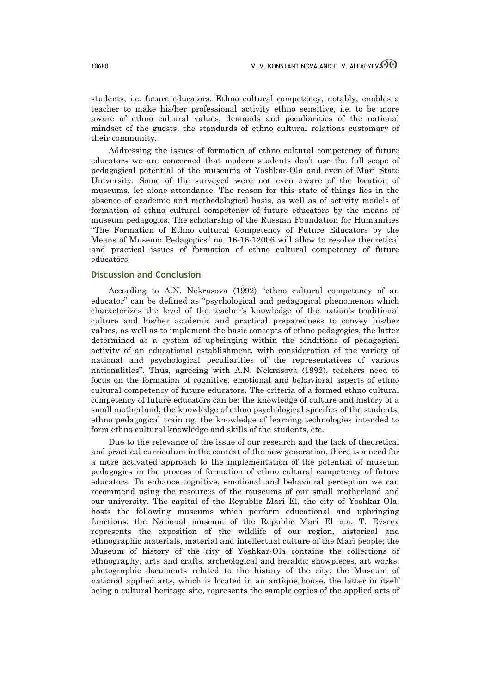students, i.e. future educators. Ethno cultural competency, notably, enables a teacher to make his/her professional activity ethno sensitive, i.e. to be more aware of ethno cultural values, demands and peculiarities of the national mindset of the guests, the standards of ethno cultural relations customary of their community.

Addressing the issues of formation of ethno cultural competency of future educators we are concerned that modern students don't use the full scope of pedagogical potential of the museums of Yoshkar-Ola and even of Mari State University. Some of the surveyed were not even aware of the location of museums, let alone attendance. The reason for this state of things lies in the absence of academic and methodological basis, as well as of activity models of formation of ethno cultural competency of future educators by the means of museum pedagogics. The scholarship of the Russian Foundation for Humanities "The Formation of Ethno cultural Competency of Future Educators by the Means of Museum Pedagogics" no. 16-16-12006 will allow to resolve theoretical and practical issues of formation of ethno cultural competency of future educators.

# **Discussion and Conclusion**

According to A.N. Nekrasova (1992) "ethno cultural competency of an educator" can be defined as "psychological and pedagogical phenomenon which characterizes the level of the teacher's knowledge of the nation's traditional culture and his/her academic and practical preparedness to convey his/her values, as well as to implement the basic concepts of ethno pedagogics, the latter determined as a system of upbringing within the conditions of pedagogical activity of an educational establishment, with consideration of the variety of national and psychological peculiarities of the representatives of various nationalities". Thus, agreeing with A.N. Nekrasova (1992), teachers need to focus on the formation of cognitive, emotional and behavioral aspects of ethno cultural competency of future educators. The criteria of a formed ethno cultural competency of future educators can be: the knowledge of culture and history of a small motherland; the knowledge of ethno psychological specifics of the students; ethno pedagogical training; the knowledge of learning technologies intended to form ethno cultural knowledge and skills of the students, etc.

Due to the relevance of the issue of our research and the lack of theoretical and practical curriculum in the context of the new generation, there is a need for a more activated approach to the implementation of the potential of museum pedagogics in the process of formation of ethno cultural competency of future educators. To enhance cognitive, emotional and behavioral perception we can recommend using the resources of the museums of our small motherland and our university. The capital of the Republic Mari El, the city of Yoshkar-Ola, hosts the following museums which perform educational and upbringing functions: the National museum of the Republic Mari El n.a. T. Evseev represents the exposition of the wildlife of our region, historical and ethnographic materials, material and intellectual culture of the Mari people; the Museum of history of the city of Yoshkar-Ola contains the collections of ethnography, arts and crafts, archeological and heraldic showpieces, art works, photographic documents related to the history of the city; the Museum of national applied arts, which is located in an antique house, the latter in itself being a cultural heritage site, represents the sample copies of the applied arts of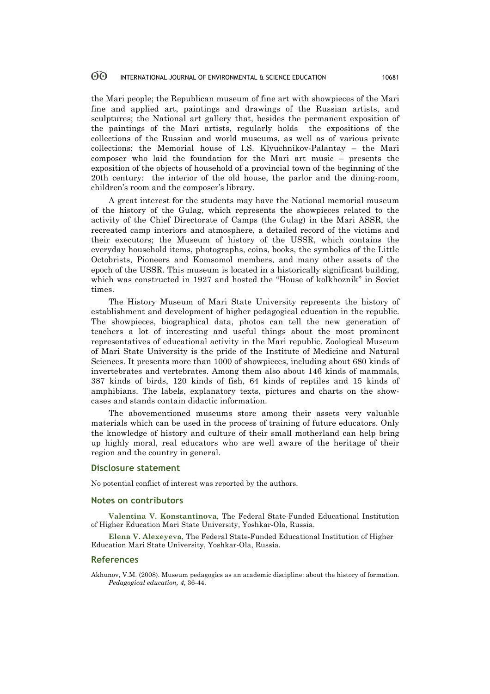the Mari people; the Republican museum of fine art with showpieces of the Mari fine and applied art, paintings and drawings of the Russian artists, and sculptures; the National art gallery that, besides the permanent exposition of the paintings of the Mari artists, regularly holds the expositions of the collections of the Russian and world museums, as well as of various private collections; the Memorial house of I.S. Klyuchnikov-Palantay – the Mari composer who laid the foundation for the Mari art music – presents the exposition of the objects of household of a provincial town of the beginning of the 20th century: the interior of the old house, the parlor and the dining-room, children's room and the composer's library.

A great interest for the students may have the National memorial museum of the history of the Gulag, which represents the showpieces related to the activity of the Chief Directorate of Camps (the Gulag) in the Mari ASSR, the recreated camp interiors and atmosphere, a detailed record of the victims and their executors; the Museum of history of the USSR, which contains the everyday household items, photographs, coins, books, the symbolics of the Little Octobrists, Pioneers and Komsomol members, and many other assets of the epoch of the USSR. This museum is located in a historically significant building, which was constructed in 1927 and hosted the "House of kolkhoznik" in Soviet times.

The History Museum of Mari State University represents the history of establishment and development of higher pedagogical education in the republic. The showpieces, biographical data, photos can tell the new generation of teachers a lot of interesting and useful things about the most prominent representatives of educational activity in the Mari republic. Zoological Museum of Mari State University is the pride of the Institute of Medicine and Natural Sciences. It presents more than 1000 of showpieces, including about 680 kinds of invertebrates and vertebrates. Among them also about 146 kinds of mammals, 387 kinds of birds, 120 kinds of fish, 64 kinds of reptiles and 15 kinds of amphibians. The labels, explanatory texts, pictures and charts on the showcases and stands contain didactic information.

The abovementioned museums store among their assets very valuable materials which can be used in the process of training of future educators. Only the knowledge of history and culture of their small motherland can help bring up highly moral, real educators who are well aware of the heritage of their region and the country in general.

# **Disclosure statement**

No potential conflict of interest was reported by the authors.

### **Notes on contributors**

**Valentina V. Konstantinova**, The Federal State-Funded Educational Institution of Higher Education Mari State University, Yoshkar-Ola, Russia.

**Elena V. Alexeyeva**, The Federal State-Funded Educational Institution of Higher Education Mari State University, Yoshkar-Ola, Russia.

### **References**

Akhunov, V.M. (2008). Museum pedagogics as an academic discipline: about the history of formation. *Pedagogical education, 4*, 36-44.